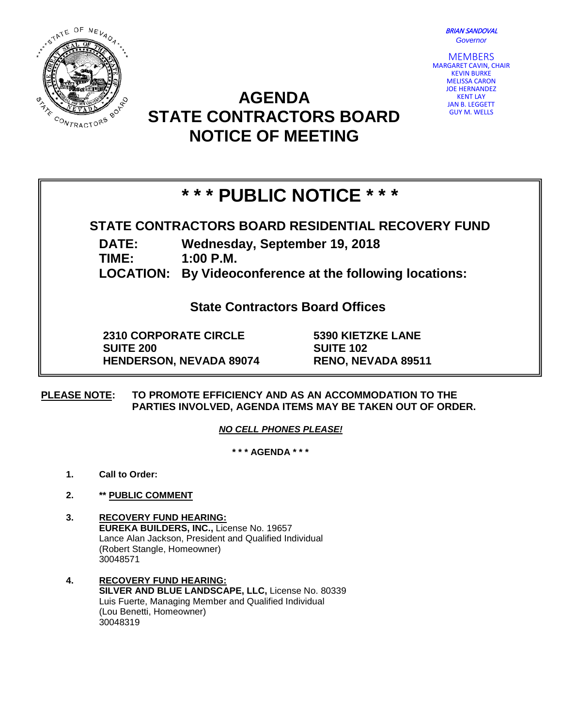BRIAN SANDOVAL *Governor*

**MEMBERS** 



#### MARGARET CAVIN, CHAIR KEVIN BURKE MELISSA CARON JOE HERNANDEZ KENT LAY JAN B. LEGGETT GUY M. WELLS

# **AGENDA STATE CONTRACTORS BOARD NOTICE OF MEETING**



## **STATE CONTRACTORS BOARD RESIDENTIAL RECOVERY FUND**

**DATE: Wednesday, September 19, 2018 TIME: 1:00 P.M.**

**LOCATION: By Videoconference at the following locations:**

**State Contractors Board Offices**

**2310 CORPORATE CIRCLE SUITE 200 HENDERSON, NEVADA 89074** **5390 KIETZKE LANE SUITE 102 RENO, NEVADA 89511**

**PLEASE NOTE: TO PROMOTE EFFICIENCY AND AS AN ACCOMMODATION TO THE PARTIES INVOLVED, AGENDA ITEMS MAY BE TAKEN OUT OF ORDER.**

*NO CELL PHONES PLEASE!* 

**\* \* \* AGENDA \* \* \***

- **1. Call to Order:**
- **2. \*\* PUBLIC COMMENT**
- **3. RECOVERY FUND HEARING: EUREKA BUILDERS, INC.,** License No. 19657 Lance Alan Jackson, President and Qualified Individual (Robert Stangle, Homeowner) 30048571
- **4. RECOVERY FUND HEARING: SILVER AND BLUE LANDSCAPE, LLC,** License No. 80339 Luis Fuerte, Managing Member and Qualified Individual (Lou Benetti, Homeowner) 30048319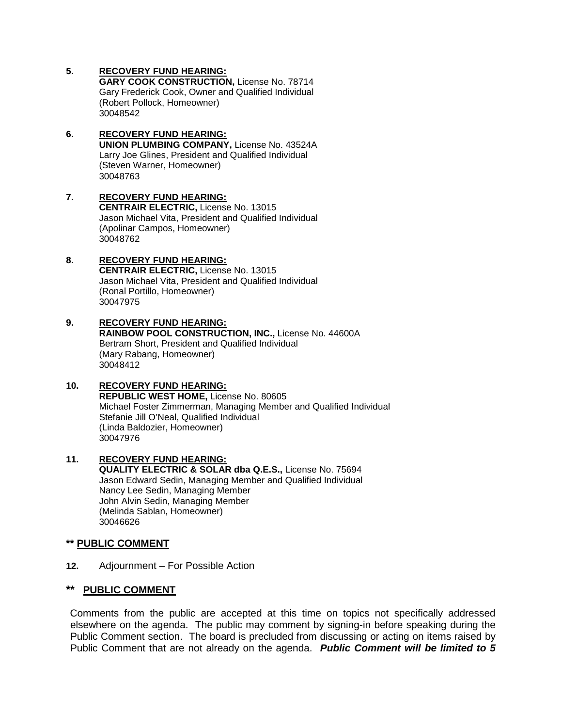## **5. RECOVERY FUND HEARING:**

**GARY COOK CONSTRUCTION,** License No. 78714 Gary Frederick Cook, Owner and Qualified Individual (Robert Pollock, Homeowner) 30048542

## **6. RECOVERY FUND HEARING: UNION PLUMBING COMPANY,** License No. 43524A Larry Joe Glines, President and Qualified Individual (Steven Warner, Homeowner) 30048763

## **7. RECOVERY FUND HEARING: CENTRAIR ELECTRIC,** License No. 13015 Jason Michael Vita, President and Qualified Individual (Apolinar Campos, Homeowner) 30048762

## **8. RECOVERY FUND HEARING: CENTRAIR ELECTRIC,** License No. 13015 Jason Michael Vita, President and Qualified Individual (Ronal Portillo, Homeowner) 30047975

## **9. RECOVERY FUND HEARING: RAINBOW POOL CONSTRUCTION, INC.,** License No. 44600A Bertram Short, President and Qualified Individual (Mary Rabang, Homeowner) 30048412

#### **10. RECOVERY FUND HEARING: REPUBLIC WEST HOME,** License No. 80605

Michael Foster Zimmerman, Managing Member and Qualified Individual Stefanie Jill O'Neal, Qualified Individual (Linda Baldozier, Homeowner) 30047976

## **11. RECOVERY FUND HEARING: QUALITY ELECTRIC & SOLAR dba Q.E.S.,** License No. 75694 Jason Edward Sedin, Managing Member and Qualified Individual Nancy Lee Sedin, Managing Member John Alvin Sedin, Managing Member (Melinda Sablan, Homeowner) 30046626

## **\*\* PUBLIC COMMENT**

**12.** Adjournment – For Possible Action

## **\*\* PUBLIC COMMENT**

Comments from the public are accepted at this time on topics not specifically addressed elsewhere on the agenda. The public may comment by signing-in before speaking during the Public Comment section. The board is precluded from discussing or acting on items raised by Public Comment that are not already on the agenda. *Public Comment will be limited to 5*